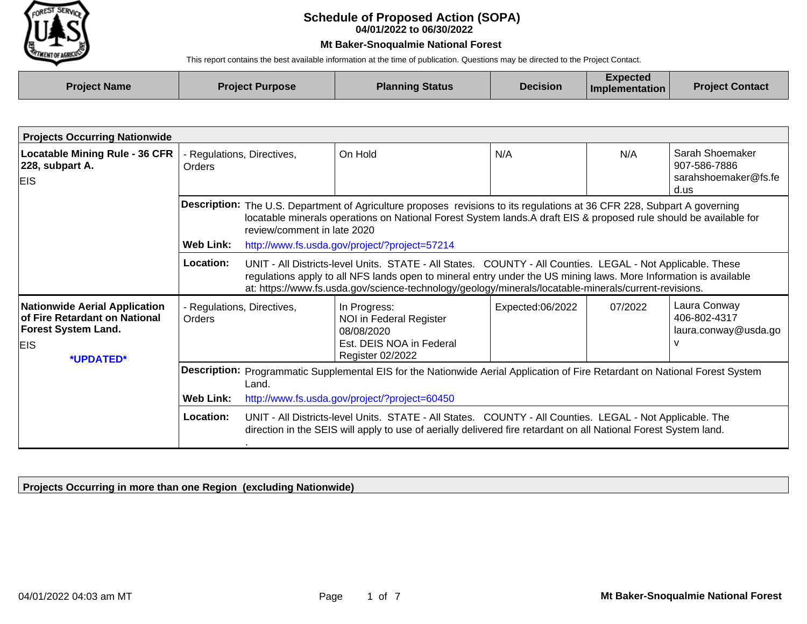

## **04/01/2022 to 06/30/2022 Schedule of Proposed Action (SOPA)**

## **Mt Baker-Snoqualmie National Forest**

This report contains the best available information at the time of publication. Questions may be directed to the Project Contact.

| <b>Project Name</b> | <b>Project Purpose</b> | <b>Planning Status</b> | <b>Decision</b> | Expected<br><b>Implementation</b> | <b>Project Contact</b> |
|---------------------|------------------------|------------------------|-----------------|-----------------------------------|------------------------|
|                     |                        |                        |                 |                                   |                        |

| <b>Projects Occurring Nationwide</b>                                                                                           |                                      |                                                                                                                                                                                                                                                                                                                               |                                                                                                                                                                                                                                                                                                                                         |                  |         |                                                                 |
|--------------------------------------------------------------------------------------------------------------------------------|--------------------------------------|-------------------------------------------------------------------------------------------------------------------------------------------------------------------------------------------------------------------------------------------------------------------------------------------------------------------------------|-----------------------------------------------------------------------------------------------------------------------------------------------------------------------------------------------------------------------------------------------------------------------------------------------------------------------------------------|------------------|---------|-----------------------------------------------------------------|
| <b>Locatable Mining Rule - 36 CFR</b><br>228, subpart A.<br><b>EIS</b>                                                         | - Regulations, Directives,<br>Orders |                                                                                                                                                                                                                                                                                                                               | On Hold                                                                                                                                                                                                                                                                                                                                 | N/A              | N/A     | Sarah Shoemaker<br>907-586-7886<br>sarahshoemaker@fs.fe<br>d.us |
|                                                                                                                                | Web Link:                            | Description: The U.S. Department of Agriculture proposes revisions to its regulations at 36 CFR 228, Subpart A governing<br>locatable minerals operations on National Forest System lands.A draft EIS & proposed rule should be available for<br>review/comment in late 2020<br>http://www.fs.usda.gov/project/?project=57214 |                                                                                                                                                                                                                                                                                                                                         |                  |         |                                                                 |
|                                                                                                                                | Location:                            |                                                                                                                                                                                                                                                                                                                               | UNIT - All Districts-level Units. STATE - All States. COUNTY - All Counties. LEGAL - Not Applicable. These<br>regulations apply to all NFS lands open to mineral entry under the US mining laws. More Information is available<br>at: https://www.fs.usda.gov/science-technology/geology/minerals/locatable-minerals/current-revisions. |                  |         |                                                                 |
| <b>Nationwide Aerial Application</b><br>of Fire Retardant on National<br><b>Forest System Land.</b><br><b>EIS</b><br>*UPDATED* | - Regulations, Directives,<br>Orders |                                                                                                                                                                                                                                                                                                                               | In Progress:<br>NOI in Federal Register<br>08/08/2020<br>Est. DEIS NOA in Federal<br>Register 02/2022                                                                                                                                                                                                                                   | Expected:06/2022 | 07/2022 | Laura Conway<br>406-802-4317<br>laura.conway@usda.go<br>v       |
|                                                                                                                                | <b>Web Link:</b>                     | Description: Programmatic Supplemental EIS for the Nationwide Aerial Application of Fire Retardant on National Forest System<br>Land.<br>http://www.fs.usda.gov/project/?project=60450                                                                                                                                        |                                                                                                                                                                                                                                                                                                                                         |                  |         |                                                                 |
|                                                                                                                                | Location:                            |                                                                                                                                                                                                                                                                                                                               | UNIT - All Districts-level Units. STATE - All States. COUNTY - All Counties. LEGAL - Not Applicable. The<br>direction in the SEIS will apply to use of aerially delivered fire retardant on all National Forest System land.                                                                                                            |                  |         |                                                                 |

**Projects Occurring in more than one Region (excluding Nationwide)**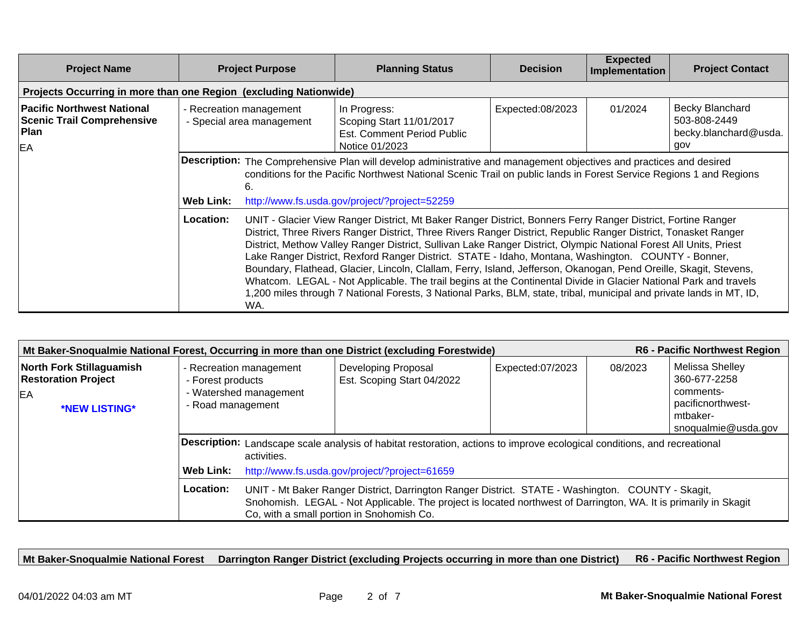| <b>Project Name</b>                                                                  |                  | <b>Project Purpose</b>                               | <b>Planning Status</b>                                                                                                                                                                                                                                                                                                                                                                                                                                                                                                                                                                                                                                                                                                                                                                                                       | <b>Decision</b>  | <b>Expected</b><br>Implementation | <b>Project Contact</b>                                                 |
|--------------------------------------------------------------------------------------|------------------|------------------------------------------------------|------------------------------------------------------------------------------------------------------------------------------------------------------------------------------------------------------------------------------------------------------------------------------------------------------------------------------------------------------------------------------------------------------------------------------------------------------------------------------------------------------------------------------------------------------------------------------------------------------------------------------------------------------------------------------------------------------------------------------------------------------------------------------------------------------------------------------|------------------|-----------------------------------|------------------------------------------------------------------------|
| Projects Occurring in more than one Region (excluding Nationwide)                    |                  |                                                      |                                                                                                                                                                                                                                                                                                                                                                                                                                                                                                                                                                                                                                                                                                                                                                                                                              |                  |                                   |                                                                        |
| <b>Pacific Northwest National</b><br><b>Scenic Trail Comprehensive</b><br>Plan<br>EA |                  | - Recreation management<br>- Special area management | In Progress:<br>Scoping Start 11/01/2017<br>Est. Comment Period Public<br>Notice 01/2023                                                                                                                                                                                                                                                                                                                                                                                                                                                                                                                                                                                                                                                                                                                                     | Expected:08/2023 | 01/2024                           | <b>Becky Blanchard</b><br>503-808-2449<br>becky.blanchard@usda.<br>gov |
|                                                                                      | <b>Web Link:</b> | 6.                                                   | Description: The Comprehensive Plan will develop administrative and management objectives and practices and desired<br>conditions for the Pacific Northwest National Scenic Trail on public lands in Forest Service Regions 1 and Regions<br>http://www.fs.usda.gov/project/?project=52259                                                                                                                                                                                                                                                                                                                                                                                                                                                                                                                                   |                  |                                   |                                                                        |
|                                                                                      | <b>Location:</b> | WA.                                                  | UNIT - Glacier View Ranger District, Mt Baker Ranger District, Bonners Ferry Ranger District, Fortine Ranger<br>District, Three Rivers Ranger District, Three Rivers Ranger District, Republic Ranger District, Tonasket Ranger<br>District, Methow Valley Ranger District, Sullivan Lake Ranger District, Olympic National Forest All Units, Priest<br>Lake Ranger District, Rexford Ranger District. STATE - Idaho, Montana, Washington. COUNTY - Bonner,<br>Boundary, Flathead, Glacier, Lincoln, Clallam, Ferry, Island, Jefferson, Okanogan, Pend Oreille, Skagit, Stevens,<br>Whatcom. LEGAL - Not Applicable. The trail begins at the Continental Divide in Glacier National Park and travels<br>1,200 miles through 7 National Forests, 3 National Parks, BLM, state, tribal, municipal and private lands in MT, ID, |                  |                                   |                                                                        |

| <b>R6 - Pacific Northwest Region</b><br>Mt Baker-Snoqualmie National Forest, Occurring in more than one District (excluding Forestwide) |                                                                                                                                                                                                                                                                                 |                                               |                                                   |                  |         |                                                                                                      |
|-----------------------------------------------------------------------------------------------------------------------------------------|---------------------------------------------------------------------------------------------------------------------------------------------------------------------------------------------------------------------------------------------------------------------------------|-----------------------------------------------|---------------------------------------------------|------------------|---------|------------------------------------------------------------------------------------------------------|
| <b>North Fork Stillaguamish</b><br><b>Restoration Project</b><br>EA<br>*NEW LISTING*                                                    | - Recreation management<br>- Forest products<br>- Watershed management<br>- Road management                                                                                                                                                                                     |                                               | Developing Proposal<br>Est. Scoping Start 04/2022 | Expected:07/2023 | 08/2023 | Melissa Shelley<br>360-677-2258<br>comments-<br>pacificnorthwest-<br>mtbaker-<br>snoqualmie@usda.gov |
|                                                                                                                                         | Description: Landscape scale analysis of habitat restoration, actions to improve ecological conditions, and recreational<br>activities.                                                                                                                                         |                                               |                                                   |                  |         |                                                                                                      |
|                                                                                                                                         | <b>Web Link:</b>                                                                                                                                                                                                                                                                | http://www.fs.usda.gov/project/?project=61659 |                                                   |                  |         |                                                                                                      |
|                                                                                                                                         | Location:<br>UNIT - Mt Baker Ranger District, Darrington Ranger District. STATE - Washington. COUNTY - Skagit,<br>Snohomish. LEGAL - Not Applicable. The project is located northwest of Darrington, WA. It is primarily in Skagit<br>Co, with a small portion in Snohomish Co. |                                               |                                                   |                  |         |                                                                                                      |

**Mt Baker-Snoqualmie National Forest Darrington Ranger District (excluding Projects occurring in more than one District) R6 - Pacific Northwest Region**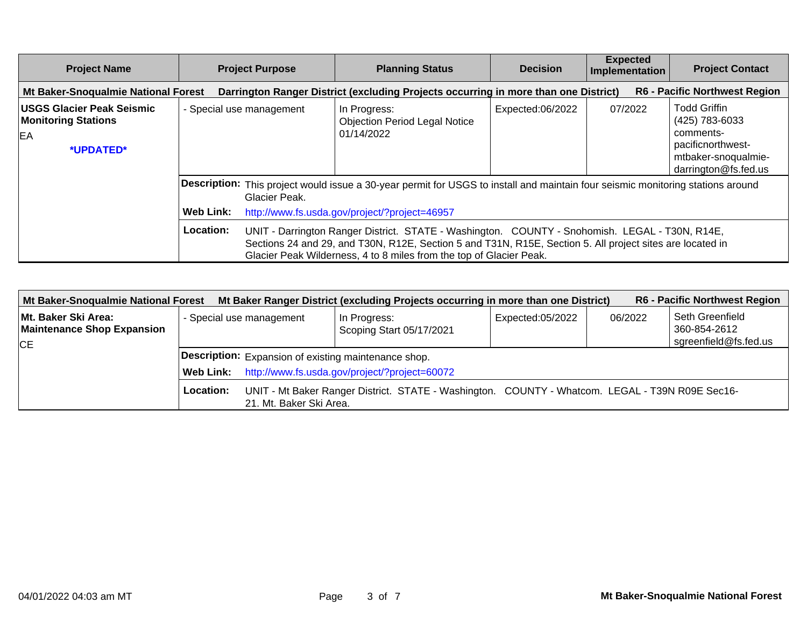| <b>Project Name</b>                                                               |                                                                                                                                                                                                                       | <b>Project Purpose</b>                                                                                                                                                                                                                                                             | <b>Planning Status</b>                                                              | <b>Decision</b>  | <b>Expected</b><br>Implementation | <b>Project Contact</b>                                                                                                 |
|-----------------------------------------------------------------------------------|-----------------------------------------------------------------------------------------------------------------------------------------------------------------------------------------------------------------------|------------------------------------------------------------------------------------------------------------------------------------------------------------------------------------------------------------------------------------------------------------------------------------|-------------------------------------------------------------------------------------|------------------|-----------------------------------|------------------------------------------------------------------------------------------------------------------------|
| Mt Baker-Snoqualmie National Forest                                               |                                                                                                                                                                                                                       |                                                                                                                                                                                                                                                                                    | Darrington Ranger District (excluding Projects occurring in more than one District) |                  |                                   | <b>R6 - Pacific Northwest Region</b>                                                                                   |
| <b>USGS Glacier Peak Seismic</b><br><b>Monitoring Stations</b><br>EA<br>*UPDATED* |                                                                                                                                                                                                                       | - Special use management                                                                                                                                                                                                                                                           | In Progress:<br><b>Objection Period Legal Notice</b><br>01/14/2022                  | Expected:06/2022 | 07/2022                           | <b>Todd Griffin</b><br>(425) 783-6033<br>comments-<br>pacificnorthwest-<br>mtbaker-snoqualmie-<br>darrington@fs.fed.us |
|                                                                                   | Description: This project would issue a 30-year permit for USGS to install and maintain four seismic monitoring stations around<br>Glacier Peak.<br><b>Web Link:</b><br>http://www.fs.usda.gov/project/?project=46957 |                                                                                                                                                                                                                                                                                    |                                                                                     |                  |                                   |                                                                                                                        |
|                                                                                   | Location:                                                                                                                                                                                                             | UNIT - Darrington Ranger District. STATE - Washington. COUNTY - Snohomish. LEGAL - T30N, R14E,<br>Sections 24 and 29, and T30N, R12E, Section 5 and T31N, R15E, Section 5. All project sites are located in<br>Glacier Peak Wilderness, 4 to 8 miles from the top of Glacier Peak. |                                                                                     |                  |                                   |                                                                                                                        |

| Mt Baker-Snoqualmie National Forest                       |                  |                                                      | Mt Baker Ranger District (excluding Projects occurring in more than one District)               |                  |         | <b>R6 - Pacific Northwest Region</b> |  |
|-----------------------------------------------------------|------------------|------------------------------------------------------|-------------------------------------------------------------------------------------------------|------------------|---------|--------------------------------------|--|
| ∣Mt. Baker Ski Area:<br><b>Maintenance Shop Expansion</b> |                  | - Special use management                             | In Progress:<br>Scoping Start 05/17/2021                                                        | Expected:05/2022 | 06/2022 | Seth Greenfield<br>360-854-2612      |  |
| <b>CE</b>                                                 |                  |                                                      |                                                                                                 |                  |         | sgreenfield@fs.fed.us                |  |
|                                                           |                  | Description: Expansion of existing maintenance shop. |                                                                                                 |                  |         |                                      |  |
|                                                           | <b>Web Link:</b> | http://www.fs.usda.gov/project/?project=60072        |                                                                                                 |                  |         |                                      |  |
|                                                           | Location:        | 21. Mt. Baker Ski Area.                              | UNIT - Mt Baker Ranger District. STATE - Washington. COUNTY - Whatcom. LEGAL - T39N R09E Sec16- |                  |         |                                      |  |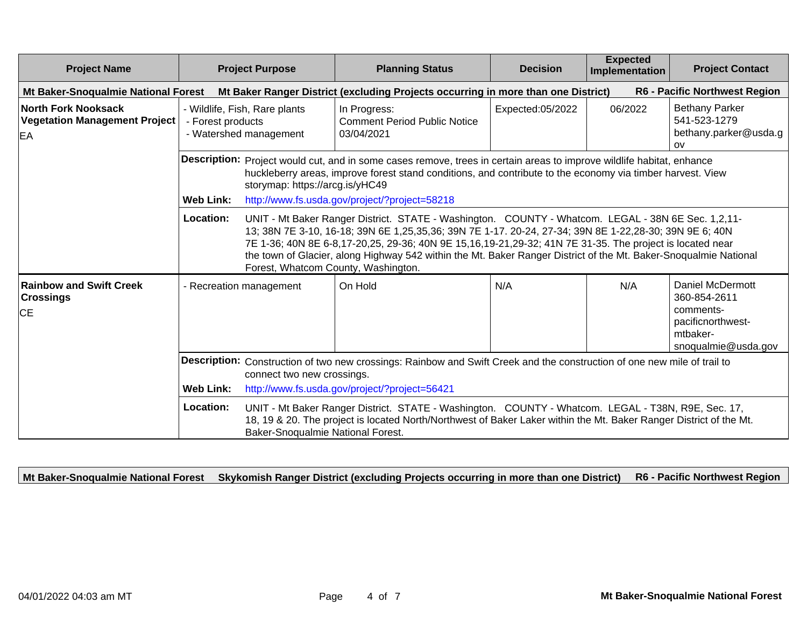| <b>Project Name</b>                                                                                                                                    |                                                                              | <b>Project Purpose</b>              | <b>Planning Status</b>                                                                                                                                                                                                                                                                                                                                                                                                                       | <b>Decision</b>  | <b>Expected</b><br>Implementation | <b>Project Contact</b>                                                                                       |
|--------------------------------------------------------------------------------------------------------------------------------------------------------|------------------------------------------------------------------------------|-------------------------------------|----------------------------------------------------------------------------------------------------------------------------------------------------------------------------------------------------------------------------------------------------------------------------------------------------------------------------------------------------------------------------------------------------------------------------------------------|------------------|-----------------------------------|--------------------------------------------------------------------------------------------------------------|
| Mt Baker-Snoqualmie National Forest                                                                                                                    |                                                                              |                                     | Mt Baker Ranger District (excluding Projects occurring in more than one District)                                                                                                                                                                                                                                                                                                                                                            |                  |                                   | R6 - Pacific Northwest Region                                                                                |
| <b>North Fork Nooksack</b><br><b>Vegetation Management Project</b><br>EA                                                                               | - Wildlife, Fish, Rare plants<br>- Forest products<br>- Watershed management |                                     | In Progress:<br><b>Comment Period Public Notice</b><br>03/04/2021                                                                                                                                                                                                                                                                                                                                                                            | Expected:05/2022 | 06/2022                           | <b>Bethany Parker</b><br>541-523-1279<br>bethany.parker@usda.g<br>OV                                         |
|                                                                                                                                                        | <b>Web Link:</b>                                                             | storymap: https://arcg.is/yHC49     | Description: Project would cut, and in some cases remove, trees in certain areas to improve wildlife habitat, enhance<br>huckleberry areas, improve forest stand conditions, and contribute to the economy via timber harvest. View<br>http://www.fs.usda.gov/project/?project=58218                                                                                                                                                         |                  |                                   |                                                                                                              |
|                                                                                                                                                        | Location:                                                                    | Forest, Whatcom County, Washington. | UNIT - Mt Baker Ranger District. STATE - Washington. COUNTY - Whatcom. LEGAL - 38N 6E Sec. 1,2,11-<br>13; 38N 7E 3-10, 16-18; 39N 6E 1,25,35,36; 39N 7E 1-17. 20-24, 27-34; 39N 8E 1-22,28-30; 39N 9E 6; 40N<br>7E 1-36; 40N 8E 6-8,17-20,25, 29-36; 40N 9E 15,16,19-21,29-32; 41N 7E 31-35. The project is located near<br>the town of Glacier, along Highway 542 within the Mt. Baker Ranger District of the Mt. Baker-Snoqualmie National |                  |                                   |                                                                                                              |
| <b>Rainbow and Swift Creek</b><br>Crossings<br><b>CE</b>                                                                                               |                                                                              | - Recreation management             | On Hold                                                                                                                                                                                                                                                                                                                                                                                                                                      | N/A              | N/A                               | <b>Daniel McDermott</b><br>360-854-2611<br>comments-<br>pacificnorthwest-<br>mtbaker-<br>snoqualmie@usda.gov |
| Description: Construction of two new crossings: Rainbow and Swift Creek and the construction of one new mile of trail to<br>connect two new crossings. |                                                                              |                                     |                                                                                                                                                                                                                                                                                                                                                                                                                                              |                  |                                   |                                                                                                              |
|                                                                                                                                                        | <b>Web Link:</b>                                                             |                                     | http://www.fs.usda.gov/project/?project=56421                                                                                                                                                                                                                                                                                                                                                                                                |                  |                                   |                                                                                                              |
|                                                                                                                                                        | Location:                                                                    | Baker-Snoqualmie National Forest.   | UNIT - Mt Baker Ranger District. STATE - Washington. COUNTY - Whatcom. LEGAL - T38N, R9E, Sec. 17,<br>18, 19 & 20. The project is located North/Northwest of Baker Laker within the Mt. Baker Ranger District of the Mt.                                                                                                                                                                                                                     |                  |                                   |                                                                                                              |

**Mt Baker-Snoqualmie National Forest Skykomish Ranger District (excluding Projects occurring in more than one District) R6 - Pacific Northwest Region**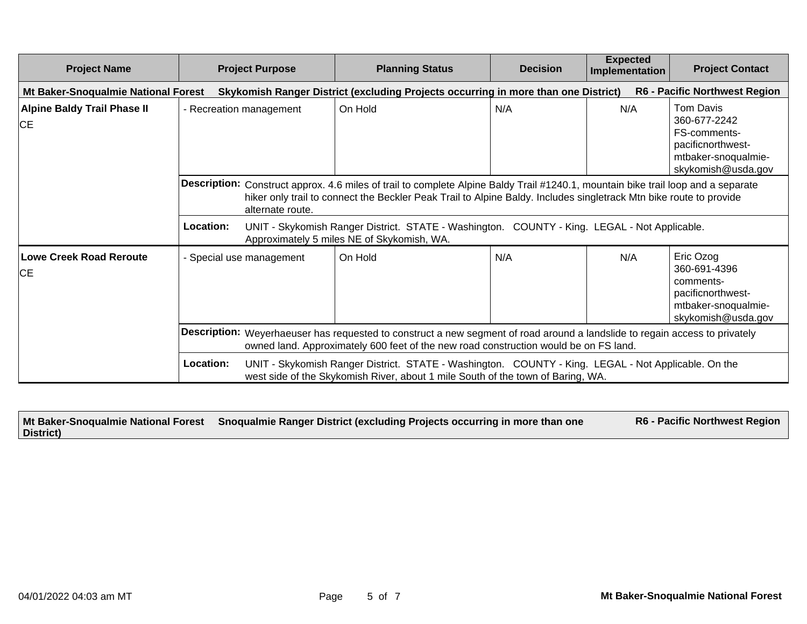| <b>Project Name</b>                             | <b>Project Purpose</b>                                                                                                                                                                                              | <b>Planning Status</b>                                                                                                                                                                                                                                  | <b>Decision</b> | <b>Expected</b><br>Implementation | <b>Project Contact</b>                                                                                             |
|-------------------------------------------------|---------------------------------------------------------------------------------------------------------------------------------------------------------------------------------------------------------------------|---------------------------------------------------------------------------------------------------------------------------------------------------------------------------------------------------------------------------------------------------------|-----------------|-----------------------------------|--------------------------------------------------------------------------------------------------------------------|
| Mt Baker-Snoqualmie National Forest             |                                                                                                                                                                                                                     | Skykomish Ranger District (excluding Projects occurring in more than one District)                                                                                                                                                                      |                 |                                   | <b>R6 - Pacific Northwest Region</b>                                                                               |
| <b>Alpine Baldy Trail Phase II</b><br><b>CE</b> | - Recreation management                                                                                                                                                                                             | On Hold                                                                                                                                                                                                                                                 | N/A             | N/A                               | <b>Tom Davis</b><br>360-677-2242<br>FS-comments-<br>pacificnorthwest-<br>mtbaker-snoqualmie-<br>skykomish@usda.gov |
|                                                 | alternate route.                                                                                                                                                                                                    | Description: Construct approx. 4.6 miles of trail to complete Alpine Baldy Trail #1240.1, mountain bike trail loop and a separate<br>hiker only trail to connect the Beckler Peak Trail to Alpine Baldy. Includes singletrack Mtn bike route to provide |                 |                                   |                                                                                                                    |
|                                                 | Location:                                                                                                                                                                                                           | UNIT - Skykomish Ranger District. STATE - Washington. COUNTY - King. LEGAL - Not Applicable.<br>Approximately 5 miles NE of Skykomish, WA.                                                                                                              |                 |                                   |                                                                                                                    |
| <b>Lowe Creek Road Reroute</b><br>ICE.          | - Special use management                                                                                                                                                                                            | On Hold                                                                                                                                                                                                                                                 | N/A             | N/A                               | Eric Ozog<br>360-691-4396<br>comments-<br>pacificnorthwest-<br>mtbaker-snoqualmie-<br>skykomish@usda.gov           |
|                                                 | Description: Weyerhaeuser has requested to construct a new segment of road around a landslide to regain access to privately<br>owned land. Approximately 600 feet of the new road construction would be on FS land. |                                                                                                                                                                                                                                                         |                 |                                   |                                                                                                                    |
|                                                 | Location:                                                                                                                                                                                                           | UNIT - Skykomish Ranger District. STATE - Washington. COUNTY - King. LEGAL - Not Applicable. On the<br>west side of the Skykomish River, about 1 mile South of the town of Baring, WA.                                                                  |                 |                                   |                                                                                                                    |

|           | Mt Baker-Snoqualmie National Forest Snoqualmie Ranger District (excluding Projects occurring in more than one | <b>R6 - Pacific Northwest Region</b> |
|-----------|---------------------------------------------------------------------------------------------------------------|--------------------------------------|
| District) |                                                                                                               |                                      |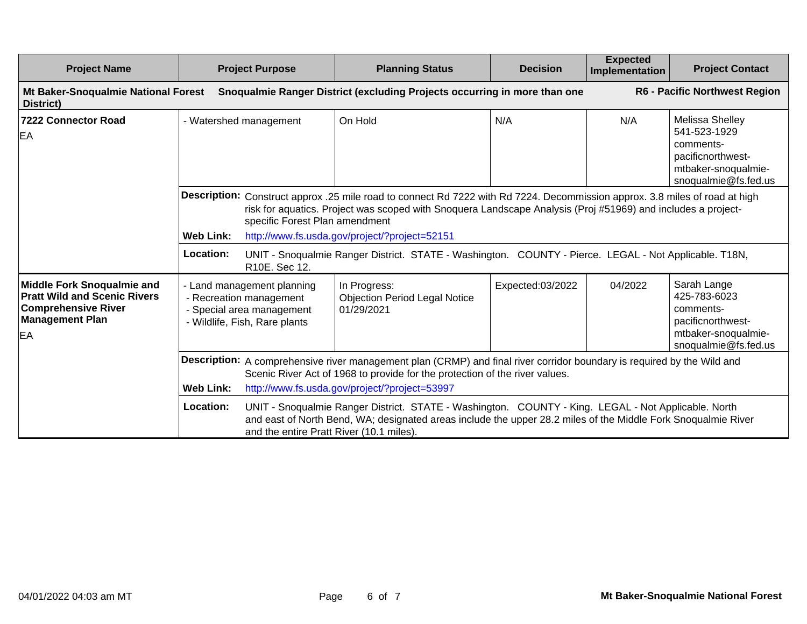| <b>Project Name</b>                                                                                                                    | <b>Project Purpose</b>                                                                                              | <b>Planning Status</b>                                                                                                                                                                                                                                                                                                                                                                                                                                                                                                      | <b>Decision</b>  | <b>Expected</b><br>Implementation | <b>Project Contact</b>                                                                                           |
|----------------------------------------------------------------------------------------------------------------------------------------|---------------------------------------------------------------------------------------------------------------------|-----------------------------------------------------------------------------------------------------------------------------------------------------------------------------------------------------------------------------------------------------------------------------------------------------------------------------------------------------------------------------------------------------------------------------------------------------------------------------------------------------------------------------|------------------|-----------------------------------|------------------------------------------------------------------------------------------------------------------|
| Mt Baker-Snoqualmie National Forest<br>District)                                                                                       |                                                                                                                     | Snoqualmie Ranger District (excluding Projects occurring in more than one                                                                                                                                                                                                                                                                                                                                                                                                                                                   |                  |                                   | R6 - Pacific Northwest Region                                                                                    |
| <b>7222 Connector Road</b><br>EA                                                                                                       | - Watershed management                                                                                              | On Hold                                                                                                                                                                                                                                                                                                                                                                                                                                                                                                                     | N/A              | N/A                               | Melissa Shelley<br>541-523-1929<br>comments-<br>pacificnorthwest-<br>mtbaker-snoqualmie-<br>snoqualmie@fs.fed.us |
|                                                                                                                                        | <b>Web Link:</b><br>Location:<br>R10E. Sec 12.                                                                      | Description: Construct approx .25 mile road to connect Rd 7222 with Rd 7224. Decommission approx. 3.8 miles of road at high<br>risk for aquatics. Project was scoped with Snoquera Landscape Analysis (Proj #51969) and includes a project-<br>specific Forest Plan amendment<br>http://www.fs.usda.gov/project/?project=52151<br>UNIT - Snoqualmie Ranger District. STATE - Washington. COUNTY - Pierce. LEGAL - Not Applicable. T18N,                                                                                     |                  |                                   |                                                                                                                  |
| <b>Middle Fork Snoqualmie and</b><br><b>Pratt Wild and Scenic Rivers</b><br><b>Comprehensive River</b><br><b>Management Plan</b><br>EA | - Land management planning<br>- Recreation management<br>- Special area management<br>- Wildlife, Fish, Rare plants | In Progress:<br><b>Objection Period Legal Notice</b><br>01/29/2021                                                                                                                                                                                                                                                                                                                                                                                                                                                          | Expected:03/2022 | 04/2022                           | Sarah Lange<br>425-783-6023<br>comments-<br>pacificnorthwest-<br>mtbaker-snoqualmie-<br>snoqualmie@fs.fed.us     |
|                                                                                                                                        | <b>Web Link:</b><br>Location:                                                                                       | Description: A comprehensive river management plan (CRMP) and final river corridor boundary is required by the Wild and<br>Scenic River Act of 1968 to provide for the protection of the river values.<br>http://www.fs.usda.gov/project/?project=53997<br>UNIT - Snoqualmie Ranger District. STATE - Washington. COUNTY - King. LEGAL - Not Applicable. North<br>and east of North Bend, WA; designated areas include the upper 28.2 miles of the Middle Fork Snoqualmie River<br>and the entire Pratt River (10.1 miles). |                  |                                   |                                                                                                                  |